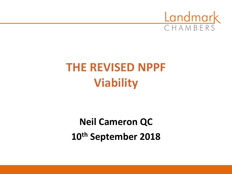

# **THE REVISED NPPF Viability**

**Neil Cameron QC 10th September 2018**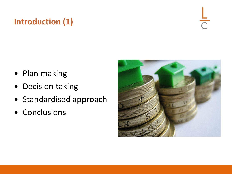# **Introduction (1)**

 $\frac{1}{C}$ 

- Plan making
- Decision taking
- Standardised approach
- Conclusions

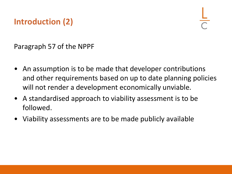# **Introduction (2)**

Paragraph 57 of the NPPF

- An assumption is to be made that developer contributions and other requirements based on up to date planning policies will not render a development economically unviable.
- A standardised approach to viability assessment is to be followed.
- Viability assessments are to be made publicly available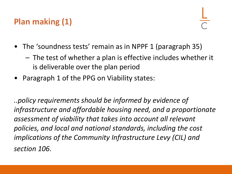# **Plan making (1)**

- The 'soundness tests' remain as in NPPF 1 (paragraph 35)
	- The test of whether a plan is effective includes whether it is deliverable over the plan period
- Paragraph 1 of the PPG on Viability states:

*..policy requirements should be informed by evidence of infrastructure and affordable housing need, and a proportionate assessment of viability that takes into account all relevant policies, and local and national standards, including the cost implications of the Community Infrastructure Levy (CIL) and section 106.*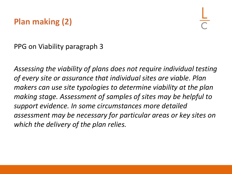# **Plan making (2)**

PPG on Viability paragraph 3

*Assessing the viability of plans does not require individual testing of every site or assurance that individual sites are viable. Plan makers can use site typologies to determine viability at the plan making stage. Assessment of samples of sites may be helpful to support evidence. In some circumstances more detailed assessment may be necessary for particular areas or key sites on which the delivery of the plan relies.*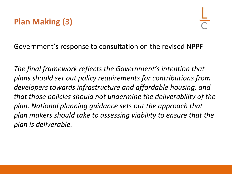#### Government's response to consultation on the revised NPPF

*The final framework reflects the Government's intention that plans should set out policy requirements for contributions from developers towards infrastructure and affordable housing, and that those policies should not undermine the deliverability of the plan. National planning guidance sets out the approach that plan makers should take to assessing viability to ensure that the plan is deliverable.*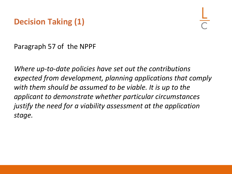#### **Decision Taking (1)**

Paragraph 57 of the NPPF

*Where up-to-date policies have set out the contributions expected from development, planning applications that comply with them should be assumed to be viable. It is up to the applicant to demonstrate whether particular circumstances justify the need for a viability assessment at the application stage.*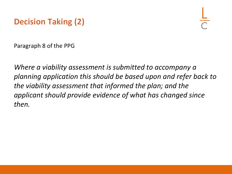

Paragraph 8 of the PPG

*Where a viability assessment is submitted to accompany a planning application this should be based upon and refer back to the viability assessment that informed the plan; and the applicant should provide evidence of what has changed since then.*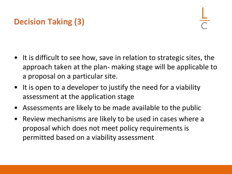# **Decision Taking (3)**

- It is difficult to see how, save in relation to strategic sites, the approach taken at the plan- making stage will be applicable to a proposal on a particular site.
- It is open to a developer to justify the need for a viability assessment at the application stage
- Assessments are likely to be made available to the public
- Review mechanisms are likely to be used in cases where a proposal which does not meet policy requirements is permitted based on a viability assessment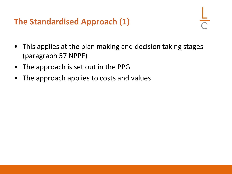#### **The Standardised Approach (1)**

- 
- This applies at the plan making and decision taking stages (paragraph 57 NPPF)
- The approach is set out in the PPG
- The approach applies to costs and values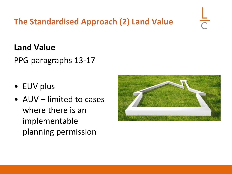#### **The Standardised Approach (2) Land Value**

#### **Land Value**

PPG paragraphs 13-17

- EUV plus
- AUV limited to cases where there is an implementable planning permission

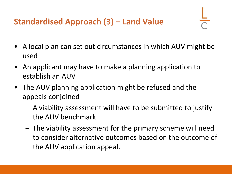# **Standardised Approach (3) – Land Value**

- A local plan can set out circumstances in which AUV might be used
- An applicant may have to make a planning application to establish an AUV
- The AUV planning application might be refused and the appeals conjoined
	- A viability assessment will have to be submitted to justify the AUV benchmark
	- The viability assessment for the primary scheme will need to consider alternative outcomes based on the outcome of the AUV application appeal.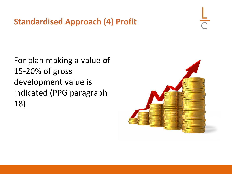**Standardised Approach (4) Profit**

For plan making a value of 15-20% of gross development value is indicated (PPG paragraph 18)